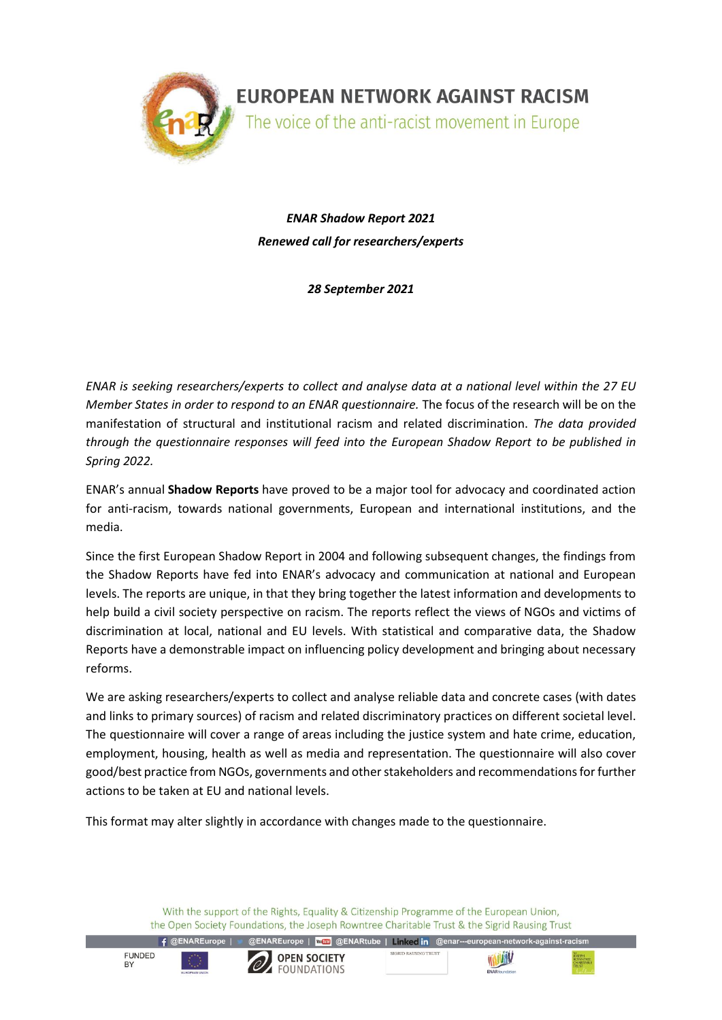

**EUROPEAN NETWORK AGAINST RACISM** The voice of the anti-racist movement in Europe

*ENAR Shadow Report 2021 Renewed call for researchers/experts*

*28 September 2021*

*ENAR is seeking researchers/experts to collect and analyse data at a national level within the 27 EU Member States in order to respond to an ENAR questionnaire.* The focus of the research will be on the manifestation of structural and institutional racism and related discrimination. *The data provided through the questionnaire responses will feed into the European Shadow Report to be published in Spring 2022.*

ENAR's annual **[Shadow](http://www.enar-eu.org/Shadow-Reports-on-racism-in-Europe-203) Reports** have proved to be a major tool for advocacy and coordinated action for anti-racism, towards national governments, European and international institutions, and the media.

Since the first European Shadow Report in 2004 and following subsequent changes, the findings from the Shadow Reports have fed into ENAR's advocacy and communication at national and European levels. The reports are unique, in that they bring together the latest information and developments to help build a civil society perspective on racism. The reports reflect the views of NGOs and victims of discrimination at local, national and EU levels. With statistical and comparative data, the Shadow Reports have a demonstrable impact on influencing policy development and bringing about necessary reforms.

We are asking researchers/experts to collect and analyse reliable data and concrete cases (with dates and links to primary sources) of racism and related discriminatory practices on different societal level. The questionnaire will cover a range of areas including the justice system and hate crime, education, employment, housing, health as well as media and representation. The questionnaire will also cover good/best practice from NGOs, governments and other stakeholders and recommendations for further actions to be taken at EU and national levels.

This format may alter slightly in accordance with changes made to the questionnaire.

With the support of the Rights, Equality & Citizenship Programme of the European Union, the Open Society Foundations, the Joseph Rowntree Charitable Trust & the Sigrid Rausing Trust

**FUNDED** 

**BY** 



F @ENAREurope | @ENAREurope | **MED** @ENARtube | Linked in @enar---european-network-against-racism SIGRID RAUSING TRUST